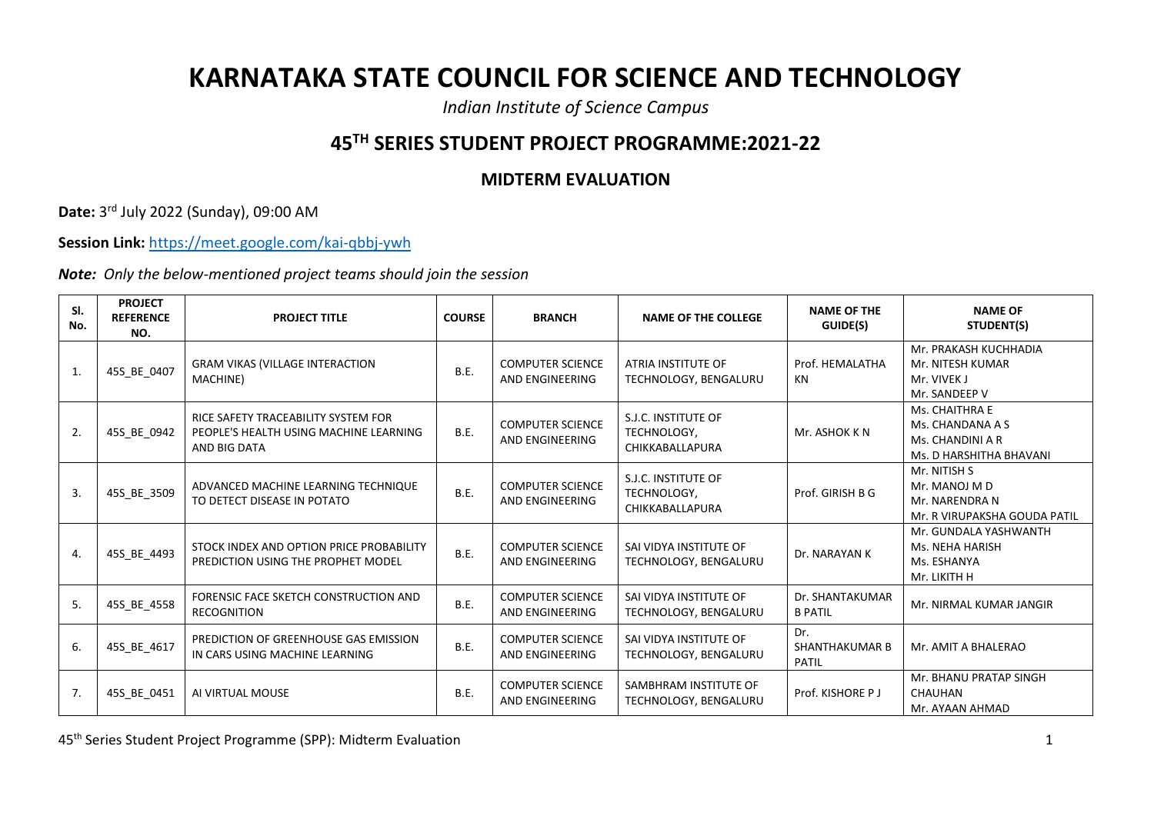## **KARNATAKA STATE COUNCIL FOR SCIENCE AND TECHNOLOGY**

*Indian Institute of Science Campus*

## **45TH SERIES STUDENT PROJECT PROGRAMME:2021-22**

## **MIDTERM EVALUATION**

**Date:** 3 rd July 2022 (Sunday), 09:00 AM

**Session Link:** <https://meet.google.com/kai-qbbj-ywh>

*Note: Only the below-mentioned project teams should join the session*

| SI.<br>No.   | <b>PROJECT</b><br><b>REFERENCE</b><br>NO. | <b>PROJECT TITLE</b>                                                                          | <b>COURSE</b> | <b>BRANCH</b>                              | <b>NAME OF THE COLLEGE</b>                            | <b>NAME OF THE</b><br>GUIDE(S)               | <b>NAME OF</b><br>STUDENT(S)                                                      |
|--------------|-------------------------------------------|-----------------------------------------------------------------------------------------------|---------------|--------------------------------------------|-------------------------------------------------------|----------------------------------------------|-----------------------------------------------------------------------------------|
| $\mathbf{1}$ | 45S_BE_0407                               | <b>GRAM VIKAS (VILLAGE INTERACTION</b><br>MACHINE)                                            | B.E.          | <b>COMPUTER SCIENCE</b><br>AND ENGINEERING | ATRIA INSTITUTE OF<br>TECHNOLOGY, BENGALURU           | Prof. HEMALATHA<br>KN                        | Mr. PRAKASH KUCHHADIA<br>Mr. NITESH KUMAR<br>Mr. VIVEK J<br>Mr. SANDEEP V         |
| 2.           | 45S_BE_0942                               | RICE SAFETY TRACEABILITY SYSTEM FOR<br>PEOPLE'S HEALTH USING MACHINE LEARNING<br>AND BIG DATA | B.E.          | <b>COMPUTER SCIENCE</b><br>AND ENGINEERING | S.J.C. INSTITUTE OF<br>TECHNOLOGY,<br>CHIKKABALLAPURA | Mr. ASHOK KN                                 | Ms. CHAITHRA E<br>Ms. CHANDANA A S<br>Ms. CHANDINI A R<br>Ms. D HARSHITHA BHAVANI |
| 3.           | 45S_BE_3509                               | ADVANCED MACHINE LEARNING TECHNIQUE<br>TO DETECT DISEASE IN POTATO                            | B.E.          | <b>COMPUTER SCIENCE</b><br>AND ENGINEERING | S.J.C. INSTITUTE OF<br>TECHNOLOGY,<br>CHIKKABALLAPURA | Prof. GIRISH B G                             | Mr. NITISH S<br>Mr. MANOJ M D<br>Mr. NARENDRA N<br>Mr. R VIRUPAKSHA GOUDA PATIL   |
| 4.           | 45S_BE_4493                               | STOCK INDEX AND OPTION PRICE PROBABILITY<br>PREDICTION USING THE PROPHET MODEL                | B.E.          | <b>COMPUTER SCIENCE</b><br>AND ENGINEERING | SAI VIDYA INSTITUTE OF<br>TECHNOLOGY, BENGALURU       | Dr. NARAYAN K                                | Mr. GUNDALA YASHWANTH<br>Ms. NEHA HARISH<br>Ms. ESHANYA<br>Mr. LIKITH H           |
| 5.           | 45S BE 4558                               | FORENSIC FACE SKETCH CONSTRUCTION AND<br><b>RECOGNITION</b>                                   | <b>B.E.</b>   | <b>COMPUTER SCIENCE</b><br>AND ENGINEERING | SAI VIDYA INSTITUTE OF<br>TECHNOLOGY, BENGALURU       | Dr. SHANTAKUMAR<br><b>B PATIL</b>            | Mr. NIRMAL KUMAR JANGIR                                                           |
| 6.           | 45S_BE_4617                               | PREDICTION OF GREENHOUSE GAS EMISSION<br>IN CARS USING MACHINE LEARNING                       | B.E.          | <b>COMPUTER SCIENCE</b><br>AND ENGINEERING | SAI VIDYA INSTITUTE OF<br>TECHNOLOGY, BENGALURU       | Dr.<br><b>SHANTHAKUMAR B</b><br><b>PATIL</b> | Mr. AMIT A BHALERAO                                                               |
| 7.           | 45S BE 0451                               | AI VIRTUAL MOUSE                                                                              | <b>B.E.</b>   | <b>COMPUTER SCIENCE</b><br>AND ENGINEERING | SAMBHRAM INSTITUTE OF<br>TECHNOLOGY, BENGALURU        | Prof. KISHORE P J                            | Mr. BHANU PRATAP SINGH<br>CHAUHAN<br>Mr. AYAAN AHMAD                              |

45th Series Student Project Programme (SPP): Midterm Evaluation 1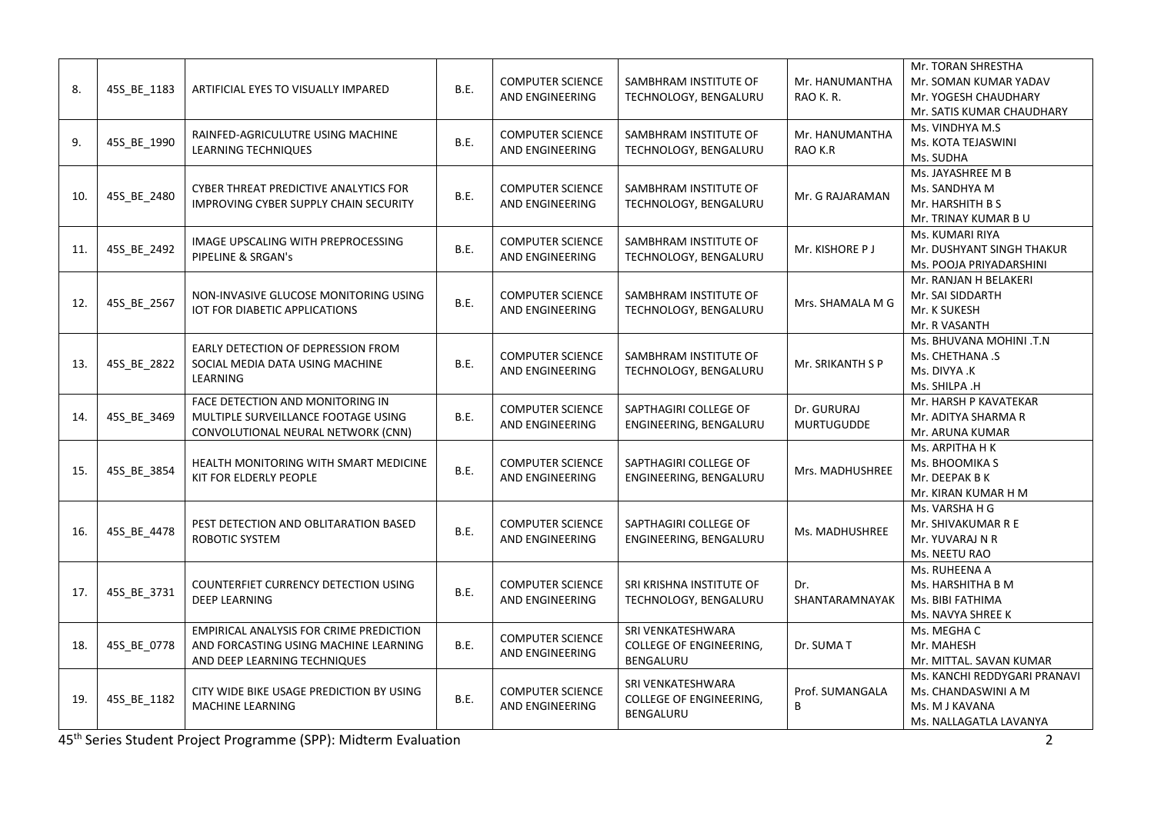| 8.  | 45S BE 1183 | ARTIFICIAL EYES TO VISUALLY IMPARED                                                                                     | B.E.        | <b>COMPUTER SCIENCE</b><br><b>AND ENGINEERING</b> | SAMBHRAM INSTITUTE OF<br>TECHNOLOGY, BENGALURU                   | Mr. HANUMANTHA<br>RAO K.R.       | Mr. TORAN SHRESTHA<br>Mr. SOMAN KUMAR YADAV<br>Mr. YOGESH CHAUDHARY<br>Mr. SATIS KUMAR CHAUDHARY |
|-----|-------------|-------------------------------------------------------------------------------------------------------------------------|-------------|---------------------------------------------------|------------------------------------------------------------------|----------------------------------|--------------------------------------------------------------------------------------------------|
| 9.  | 45S_BE_1990 | RAINFED-AGRICULUTRE USING MACHINE<br><b>LEARNING TECHNIQUES</b>                                                         | B.E.        | <b>COMPUTER SCIENCE</b><br>AND ENGINEERING        | SAMBHRAM INSTITUTE OF<br>TECHNOLOGY, BENGALURU                   | Mr. HANUMANTHA<br>RAO K.R        | Ms. VINDHYA M.S<br>Ms. KOTA TEJASWINI<br>Ms. SUDHA                                               |
| 10. | 45S_BE_2480 | CYBER THREAT PREDICTIVE ANALYTICS FOR<br><b>IMPROVING CYBER SUPPLY CHAIN SECURITY</b>                                   | B.E.        | <b>COMPUTER SCIENCE</b><br>AND ENGINEERING        | SAMBHRAM INSTITUTE OF<br>TECHNOLOGY, BENGALURU                   | Mr. G RAJARAMAN                  | Ms. JAYASHREE M B<br>Ms. SANDHYA M<br>Mr. HARSHITH B S<br>Mr. TRINAY KUMAR B U                   |
| 11. | 45S_BE_2492 | IMAGE UPSCALING WITH PREPROCESSING<br>PIPELINE & SRGAN's                                                                | B.E.        | <b>COMPUTER SCIENCE</b><br>AND ENGINEERING        | SAMBHRAM INSTITUTE OF<br>TECHNOLOGY, BENGALURU                   | Mr. KISHORE P J                  | Ms. KUMARI RIYA<br>Mr. DUSHYANT SINGH THAKUR<br>Ms. POOJA PRIYADARSHINI                          |
| 12. | 45S_BE_2567 | NON-INVASIVE GLUCOSE MONITORING USING<br>IOT FOR DIABETIC APPLICATIONS                                                  | B.E.        | <b>COMPUTER SCIENCE</b><br>AND ENGINEERING        | SAMBHRAM INSTITUTE OF<br>TECHNOLOGY, BENGALURU                   | Mrs. SHAMALA M G                 | Mr. RANJAN H BELAKERI<br>Mr. SAI SIDDARTH<br>Mr. K SUKESH<br>Mr. R VASANTH                       |
| 13. | 45S_BE_2822 | EARLY DETECTION OF DEPRESSION FROM<br>SOCIAL MEDIA DATA USING MACHINE<br>LEARNING                                       | <b>B.E.</b> | <b>COMPUTER SCIENCE</b><br>AND ENGINEERING        | SAMBHRAM INSTITUTE OF<br>TECHNOLOGY, BENGALURU                   | Mr. SRIKANTH S P                 | Ms. BHUVANA MOHINI .T.N<br>Ms. CHETHANA .S<br>Ms. DIVYA .K<br>Ms. SHILPA .H                      |
| 14. | 45S BE 3469 | FACE DETECTION AND MONITORING IN<br>MULTIPLE SURVEILLANCE FOOTAGE USING<br>CONVOLUTIONAL NEURAL NETWORK (CNN)           | B.E.        | <b>COMPUTER SCIENCE</b><br>AND ENGINEERING        | SAPTHAGIRI COLLEGE OF<br>ENGINEERING, BENGALURU                  | Dr. GURURAJ<br><b>MURTUGUDDE</b> | Mr. HARSH P KAVATEKAR<br>Mr. ADITYA SHARMA R<br>Mr. ARUNA KUMAR                                  |
| 15. | 45S BE 3854 | HEALTH MONITORING WITH SMART MEDICINE<br>KIT FOR ELDERLY PEOPLE                                                         | B.E.        | <b>COMPUTER SCIENCE</b><br>AND ENGINEERING        | SAPTHAGIRI COLLEGE OF<br>ENGINEERING, BENGALURU                  | Mrs. MADHUSHREE                  | Ms. ARPITHA H K<br>Ms. BHOOMIKA S<br>Mr. DEEPAK B K<br>Mr. KIRAN KUMAR H M                       |
| 16. | 45S_BE_4478 | PEST DETECTION AND OBLITARATION BASED<br>ROBOTIC SYSTEM                                                                 | B.E.        | <b>COMPUTER SCIENCE</b><br>AND ENGINEERING        | SAPTHAGIRI COLLEGE OF<br>ENGINEERING, BENGALURU                  | Ms. MADHUSHREE                   | Ms. VARSHA H G<br>Mr. SHIVAKUMAR R E<br>Mr. YUVARAJ N R<br>Ms. NEETU RAO                         |
| 17. | 45S BE 3731 | COUNTERFIET CURRENCY DETECTION USING<br><b>DEEP LEARNING</b>                                                            | B.E.        | <b>COMPUTER SCIENCE</b><br>AND ENGINEERING        | SRI KRISHNA INSTITUTE OF<br>TECHNOLOGY, BENGALURU                | Dr.<br>SHANTARAMNAYAK            | Ms. RUHEENA A<br>Ms. HARSHITHA B M<br>Ms. BIBI FATHIMA<br>Ms. NAVYA SHREE K                      |
| 18. | 45S_BE_0778 | <b>EMPIRICAL ANALYSIS FOR CRIME PREDICTION</b><br>AND FORCASTING USING MACHINE LEARNING<br>AND DEEP LEARNING TECHNIQUES | B.E.        | <b>COMPUTER SCIENCE</b><br>AND ENGINEERING        | SRI VENKATESHWARA<br><b>COLLEGE OF ENGINEERING,</b><br>BENGALURU | Dr. SUMAT                        | Ms. MEGHA C<br>Mr. MAHESH<br>Mr. MITTAL. SAVAN KUMAR                                             |
| 19. | 45S_BE_1182 | CITY WIDE BIKE USAGE PREDICTION BY USING<br><b>MACHINE LEARNING</b>                                                     | B.E.        | <b>COMPUTER SCIENCE</b><br>AND ENGINEERING        | SRI VENKATESHWARA<br>COLLEGE OF ENGINEERING,<br>BENGALURU        | Prof. SUMANGALA<br>B             | Ms. KANCHI REDDYGARI PRANAVI<br>Ms. CHANDASWINI A M<br>Ms. M J KAVANA<br>Ms. NALLAGATLA LAVANYA  |

45th Series Student Project Programme (SPP): Midterm Evaluation 2